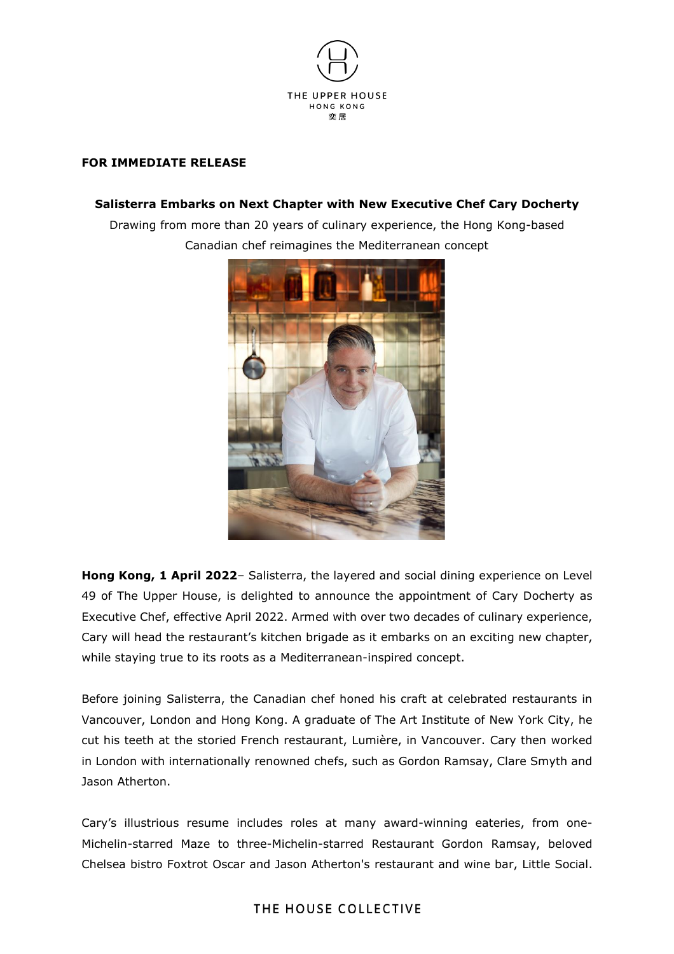

### **FOR IMMEDIATE RELEASE**

## **Salisterra Embarks on Next Chapter with New Executive Chef Cary Docherty**

Drawing from more than 20 years of culinary experience, the Hong Kong-based Canadian chef reimagines the Mediterranean concept



**Hong Kong, 1 April 2022**– Salisterra, the layered and social dining experience on Level 49 of The Upper House, is delighted to announce the appointment of Cary Docherty as Executive Chef, effective April 2022. Armed with over two decades of culinary experience, Cary will head the restaurant's kitchen brigade as it embarks on an exciting new chapter, while staying true to its roots as a Mediterranean-inspired concept.

Before joining Salisterra, the Canadian chef honed his craft at celebrated restaurants in Vancouver, London and Hong Kong. A graduate of The Art Institute of New York City, he cut his teeth at the storied French restaurant, Lumière, in Vancouver. Cary then worked in London with internationally renowned chefs, such as Gordon Ramsay, Clare Smyth and Jason Atherton.

Cary's illustrious resume includes roles at many award-winning eateries, from one-Michelin-starred Maze to three-Michelin-starred Restaurant Gordon Ramsay, beloved Chelsea bistro Foxtrot Oscar and Jason Atherton's restaurant and wine bar, Little Social.

## THE HOUSE COLLECTIVE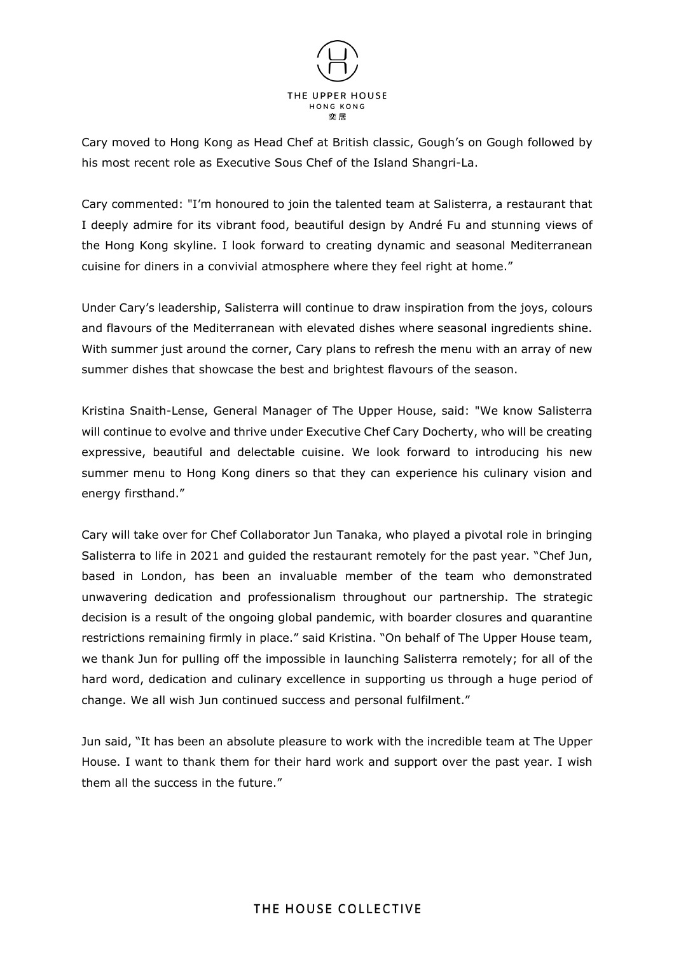

Cary moved to Hong Kong as Head Chef at British classic, Gough's on Gough followed by his most recent role as Executive Sous Chef of the Island Shangri-La.

Cary commented: "I'm honoured to join the talented team at Salisterra, a restaurant that I deeply admire for its vibrant food, beautiful design by André Fu and stunning views of the Hong Kong skyline. I look forward to creating dynamic and seasonal Mediterranean cuisine for diners in a convivial atmosphere where they feel right at home."

Under Cary's leadership, Salisterra will continue to draw inspiration from the joys, colours and flavours of the Mediterranean with elevated dishes where seasonal ingredients shine. With summer just around the corner, Cary plans to refresh the menu with an array of new summer dishes that showcase the best and brightest flavours of the season.

Kristina Snaith-Lense, General Manager of The Upper House, said: "We know Salisterra will continue to evolve and thrive under Executive Chef Cary Docherty, who will be creating expressive, beautiful and delectable cuisine. We look forward to introducing his new summer menu to Hong Kong diners so that they can experience his culinary vision and energy firsthand."

Cary will take over for Chef Collaborator Jun Tanaka, who played a pivotal role in bringing Salisterra to life in 2021 and guided the restaurant remotely for the past year. "Chef Jun, based in London, has been an invaluable member of the team who demonstrated unwavering dedication and professionalism throughout our partnership. The strategic decision is a result of the ongoing global pandemic, with boarder closures and quarantine restrictions remaining firmly in place." said Kristina. "On behalf of The Upper House team, we thank Jun for pulling off the impossible in launching Salisterra remotely; for all of the hard word, dedication and culinary excellence in supporting us through a huge period of change. We all wish Jun continued success and personal fulfilment."

Jun said, "It has been an absolute pleasure to work with the incredible team at The Upper House. I want to thank them for their hard work and support over the past year. I wish them all the success in the future."

# THE HOUSE COLLECTIVE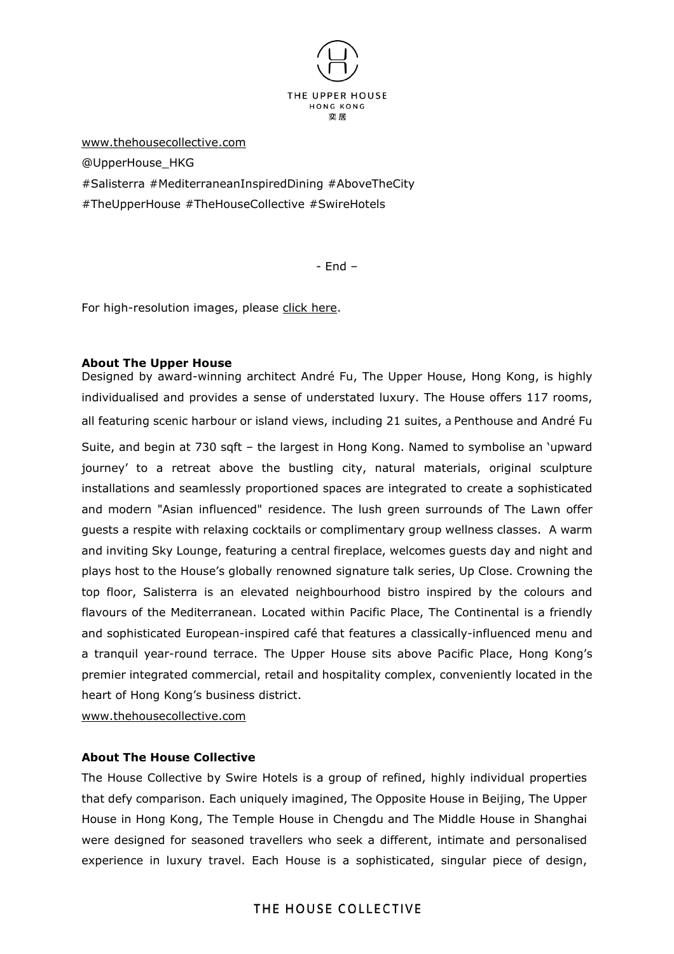

[www.thehousecollective.com](http://www.thehousecollective.com/)

@UpperHouse\_HKG

#Salisterra #MediterraneanInspiredDining #AboveTheCity

#TheUpperHouse #TheHouseCollective #SwireHotels

- End –

For high-resolution images, please click [here.](https://app.box.com/s/5ewhi5mjv8fdj0freyanjjt8ksm9q3uz)

### **About The Upper House**

Designed by award-winning architect André Fu, The Upper House, Hong Kong, is highly individualised and provides a sense of understated luxury. The House offers 117 rooms, all featuring scenic harbour or island views, including 21 suites, a Penthouse and André Fu Suite, and begin at 730 sqft – the largest in Hong Kong. Named to symbolise an 'upward journey' to a retreat above the bustling city, natural materials, original sculpture installations and seamlessly proportioned spaces are integrated to create a sophisticated and modern "Asian influenced" residence. The lush green surrounds of The Lawn offer guests a respite with relaxing cocktails or complimentary group wellness classes. A warm and inviting Sky Lounge, featuring a central fireplace, welcomes guests day and night and plays host to the House's globally renowned signature talk series, Up Close. Crowning the top floor, Salisterra is an elevated neighbourhood bistro inspired by the colours and flavours of the Mediterranean. Located within Pacific Place, The Continental is a friendly and sophisticated European-inspired café that features a classically-influenced menu and a tranquil year-round terrace. The Upper House sits above Pacific Place, Hong Kong's premier integrated commercial, retail and hospitality complex, conveniently located in the heart of Hong Kong's business district.

[www.thehousecollective.com](http://www.thehousecollective.com/)

### **About The House Collective**

The House Collective by Swire Hotels is a group of refined, highly individual properties that defy comparison. Each uniquely imagined, The Opposite House in Beijing, The Upper House in Hong Kong, The Temple House in Chengdu and The Middle House in Shanghai were designed for seasoned travellers who seek a different, intimate and personalised experience in luxury travel. Each House is a sophisticated, singular piece of design,